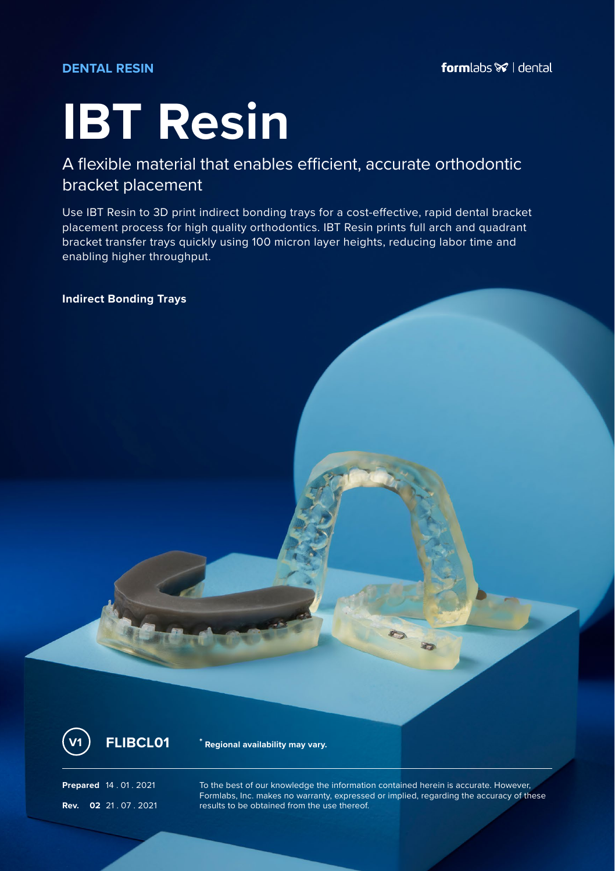### **DENTAL RESIN**

# **IBT Resin**

## A flexible material that enables efficient, accurate orthodontic bracket placement

Use IBT Resin to 3D print indirect bonding trays for a cost-effective, rapid dental bracket placement process for high quality orthodontics. IBT Resin prints full arch and quadrant bracket transfer trays quickly using 100 micron layer heights, reducing labor time and enabling higher throughput.

**Indirect Bonding Trays**



**V1 FLIBCL01 \* Regional availability may vary.**

**Prepared** 14 . 01 . 2021 To the best of our knowledge the information contained herein is accurate. However, Formlabs, Inc. makes no warranty, expressed or implied, regarding the accuracy of these **Rev. 02** 21 .07 .2021 **results to be obtained from the use thereof.**